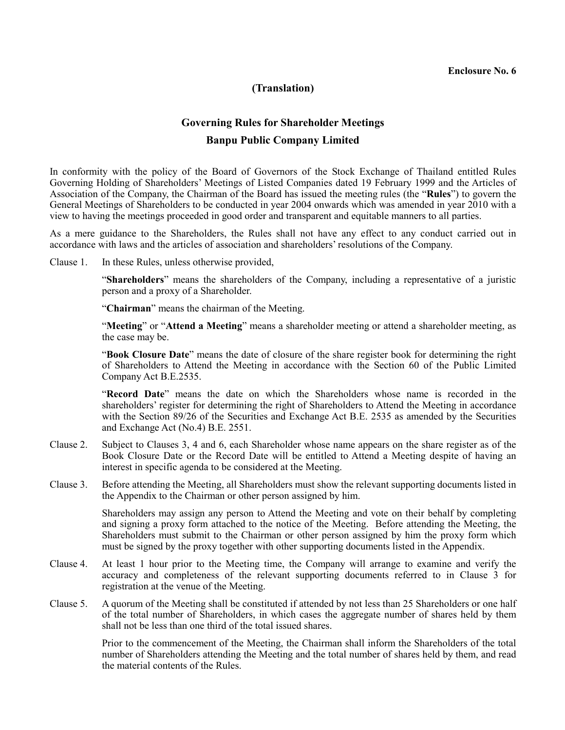#### **Enclosure No. 6**

## **(Translation)**

# **Governing Rules for Shareholder Meetings Banpu Public Company Limited**

In conformity with the policy of the Board of Governors of the Stock Exchange of Thailand entitled Rules Governing Holding of Shareholders' Meetings of Listed Companies dated 19 February 1999 and the Articles of Association of the Company, the Chairman of the Board has issued the meeting rules (the "**Rules**") to govern the General Meetings of Shareholders to be conducted in year 2004 onwards which was amended in year 2010 with a view to having the meetings proceeded in good order and transparent and equitable manners to all parties.

As a mere guidance to the Shareholders, the Rules shall not have any effect to any conduct carried out in accordance with laws and the articles of association and shareholders' resolutions of the Company.

Clause 1.In these Rules, unless otherwise provided,

 "**Shareholders**" means the shareholders of the Company, including a representative of a juristic person and a proxy of a Shareholder.

"**Chairman**" means the chairman of the Meeting.

 "**Meeting**" or "**Attend a Meeting**" means a shareholder meeting or attend a shareholder meeting, as the case may be.

 "**Book Closure Date**" means the date of closure of the share register book for determining the right of Shareholders to Attend the Meeting in accordance with the Section 60 of the Public Limited Company Act B.E.2535.

 "**Record Date**" means the date on which the Shareholders whose name is recorded in the shareholders' register for determining the right of Shareholders to Attend the Meeting in accordance with the Section 89/26 of the Securities and Exchange Act B.E. 2535 as amended by the Securities and Exchange Act (No.4) B.E. 2551.

- Clause 2. Subject to Clauses 3, 4 and 6, each Shareholder whose name appears on the share register as of the Book Closure Date or the Record Date will be entitled to Attend a Meeting despite of having an interest in specific agenda to be considered at the Meeting.
- Clause 3. Before attending the Meeting, all Shareholders must show the relevant supporting documents listed in the Appendix to the Chairman or other person assigned by him.

 Shareholders may assign any person to Attend the Meeting and vote on their behalf by completing and signing a proxy form attached to the notice of the Meeting. Before attending the Meeting, the Shareholders must submit to the Chairman or other person assigned by him the proxy form which must be signed by the proxy together with other supporting documents listed in the Appendix.

- Clause 4. At least 1 hour prior to the Meeting time, the Company will arrange to examine and verify the accuracy and completeness of the relevant supporting documents referred to in Clause 3 for registration at the venue of the Meeting.
- Clause 5. A quorum of the Meeting shall be constituted if attended by not less than 25 Shareholders or one half of the total number of Shareholders, in which cases the aggregate number of shares held by them shall not be less than one third of the total issued shares.

 Prior to the commencement of the Meeting, the Chairman shall inform the Shareholders of the total number of Shareholders attending the Meeting and the total number of shares held by them, and read the material contents of the Rules.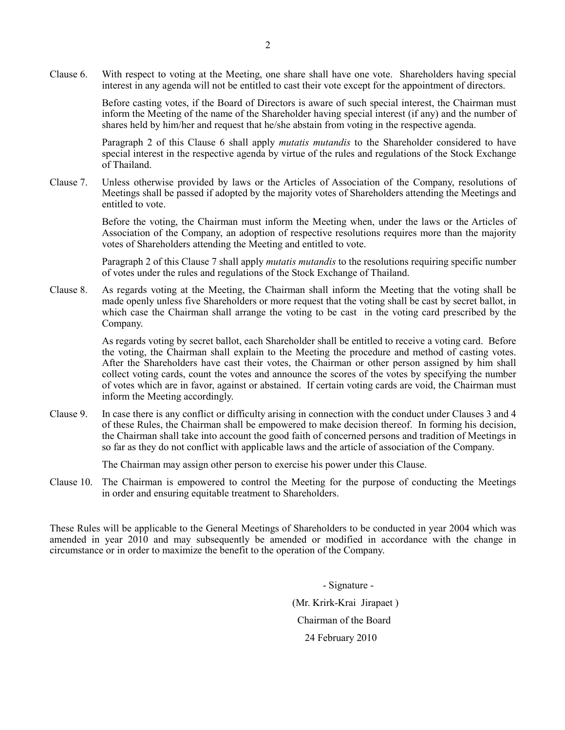Clause 6. With respect to voting at the Meeting, one share shall have one vote. Shareholders having special interest in any agenda will not be entitled to cast their vote except for the appointment of directors.

> Before casting votes, if the Board of Directors is aware of such special interest, the Chairman must inform the Meeting of the name of the Shareholder having special interest (if any) and the number of shares held by him/her and request that he/she abstain from voting in the respective agenda.

> Paragraph 2 of this Clause 6 shall apply *mutatis mutandis* to the Shareholder considered to have special interest in the respective agenda by virtue of the rules and regulations of the Stock Exchange of Thailand.

Clause 7. Unless otherwise provided by laws or the Articles of Association of the Company, resolutions of Meetings shall be passed if adopted by the majority votes of Shareholders attending the Meetings and entitled to vote.

> Before the voting, the Chairman must inform the Meeting when, under the laws or the Articles of Association of the Company, an adoption of respective resolutions requires more than the majority votes of Shareholders attending the Meeting and entitled to vote.

> Paragraph 2 of this Clause 7 shall apply *mutatis mutandis* to the resolutions requiring specific number of votes under the rules and regulations of the Stock Exchange of Thailand.

Clause 8. As regards voting at the Meeting, the Chairman shall inform the Meeting that the voting shall be made openly unless five Shareholders or more request that the voting shall be cast by secret ballot, in which case the Chairman shall arrange the voting to be cast in the voting card prescribed by the Company.

> As regards voting by secret ballot, each Shareholder shall be entitled to receive a voting card. Before the voting, the Chairman shall explain to the Meeting the procedure and method of casting votes. After the Shareholders have cast their votes, the Chairman or other person assigned by him shall collect voting cards, count the votes and announce the scores of the votes by specifying the number of votes which are in favor, against or abstained. If certain voting cards are void, the Chairman must inform the Meeting accordingly.

Clause 9. In case there is any conflict or difficulty arising in connection with the conduct under Clauses 3 and 4 of these Rules, the Chairman shall be empowered to make decision thereof. In forming his decision, the Chairman shall take into account the good faith of concerned persons and tradition of Meetings in so far as they do not conflict with applicable laws and the article of association of the Company.

The Chairman may assign other person to exercise his power under this Clause.

Clause 10. The Chairman is empowered to control the Meeting for the purpose of conducting the Meetings in order and ensuring equitable treatment to Shareholders.

These Rules will be applicable to the General Meetings of Shareholders to be conducted in year 2004 which was amended in year 2010 and may subsequently be amended or modified in accordance with the change in circumstance or in order to maximize the benefit to the operation of the Company.

> - Signature - (Mr. Krirk-Krai Jirapaet ) Chairman of the Board 24 February 2010